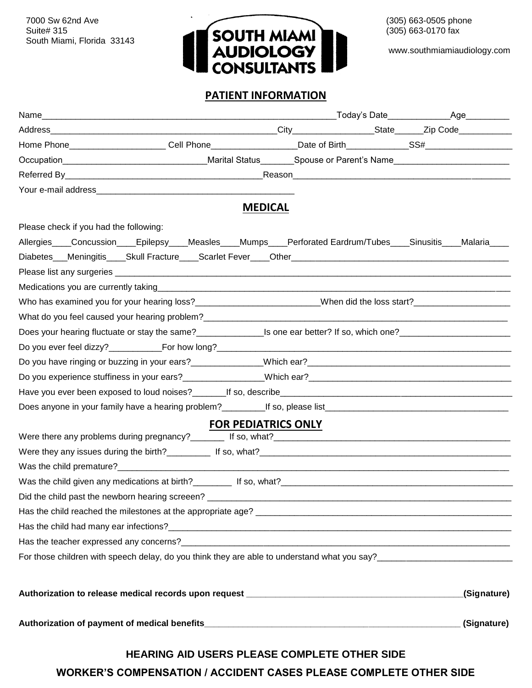South Miami, Florida 33143



www.southmiamiaudiology.com

#### **PATIENT INFORMATION**

| Home Phone_______________________Cell Phone___________________Date of Birth_____________SS#___________________  |                            |             |
|-----------------------------------------------------------------------------------------------------------------|----------------------------|-------------|
| Occupation___________________________________Marital Status________Spouse or Parent's Name____________________  |                            |             |
|                                                                                                                 |                            |             |
|                                                                                                                 |                            |             |
|                                                                                                                 | <b>MEDICAL</b>             |             |
| Please check if you had the following:                                                                          |                            |             |
| Allergies____Concussion____Epilepsy____Measles____Mumps____Perforated Eardrum/Tubes____Sinusitis____Malaria____ |                            |             |
|                                                                                                                 |                            |             |
|                                                                                                                 |                            |             |
|                                                                                                                 |                            |             |
|                                                                                                                 |                            |             |
|                                                                                                                 |                            |             |
|                                                                                                                 |                            |             |
|                                                                                                                 |                            |             |
|                                                                                                                 |                            |             |
|                                                                                                                 |                            |             |
|                                                                                                                 |                            |             |
| Does anyone in your family have a hearing problem?___________If so, please list________________________________ |                            |             |
|                                                                                                                 | <b>FOR PEDIATRICS ONLY</b> |             |
|                                                                                                                 |                            |             |
|                                                                                                                 |                            |             |
|                                                                                                                 |                            |             |
|                                                                                                                 |                            |             |
| Did the child past the newborn hearing screeen? ___________                                                     |                            |             |
|                                                                                                                 |                            |             |
|                                                                                                                 |                            |             |
|                                                                                                                 |                            |             |
| For those children with speech delay, do you think they are able to understand what you say?                    |                            |             |
|                                                                                                                 |                            | (Signature) |
|                                                                                                                 |                            |             |
|                                                                                                                 |                            | (Signature) |
| HEARING AID USERS PLEASE COMPLETE OTHER SIDE                                                                    |                            |             |

**WORKER'S COMPENSATION / ACCIDENT CASES PLEASE COMPLETE OTHER SIDE**